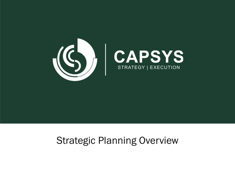

# Strategic Planning Overview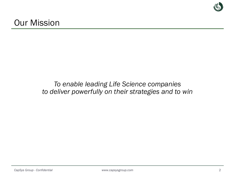## *To enable leading Life Science companies to deliver powerfully on their strategies and to win*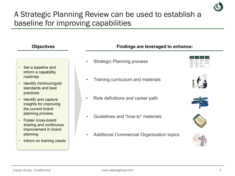

- Set a baseline and inform a capabilitiy roadmap
- Identify minimum/gold standards and best practices
- Identify and capture insights for improving the current brand planning process
- Foster cross-brand sharing and continuous improvement in brand planning
- Inform on training needs

#### **Objectives Findings are leveraged to enhance:**

- **Strategic Planning process**
- Training curriculum and materials
- Role definitions and career path
- Guidelines and "how-to" materials
- Additional Commercial Organization topics









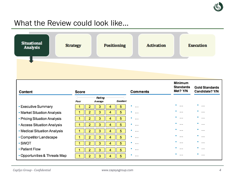

## What the Review could look like...



| Content                          | Score |                          |           | <b>Comments</b> | Minimum<br><b>Standards</b><br>Met? Y/N | <b>Gold Standards</b><br>Candidate? Y/N |
|----------------------------------|-------|--------------------------|-----------|-----------------|-----------------------------------------|-----------------------------------------|
|                                  | Poor  | Rating<br><b>Average</b> | Excellent |                 |                                         |                                         |
| <b>Executive Summary</b>         |       | 3<br>4                   | 5         | ۰<br>$\cdots$   | ۰<br>$\cdots$                           | ۰<br>$\cdots$                           |
| • Market Situation Analysis      |       | 2<br>3<br>4              | 5         | ۰<br>$\cdots$   | ۰<br>$\cdots$                           | ۰<br>$\cdots$                           |
| • Pricing Situation Analysis     |       | 3<br>2<br>4              | 5         | ۰<br>           | ۰<br>$\cdots$                           | $\cdots$                                |
| <b>Access Situation Analysis</b> |       | 3<br>4                   | 5         | ۰<br>$\cdots$   | $\cdots$                                | $\cdots$                                |
| • Medical Situation Analysis     |       | 3<br>4                   | 5.        | ٠<br>$\cdots$   | ۰<br>$\cdots$                           | $\cdots$                                |
| • Competitor Landscape           |       | 2<br>3<br>4              | 5.        | ۰<br>$\cdots$   | ۰<br>$\cdots$                           | $\cdots$                                |
| - SWOT                           |       |                          | 5         | ۰<br>$\cdots$   | ۰<br>$\cdots$                           | $\cdots$                                |
| • Patient Flow                   |       | 4                        | 5.        | ۰<br>$\cdots$   | ۰<br>$\cdots$                           | $\cdots$                                |
| • Opportunities & Threats Map    |       | 2<br>3<br>4              | 5.        | ۰<br>           | ۰<br>$\cdots$                           | $\cdots$                                |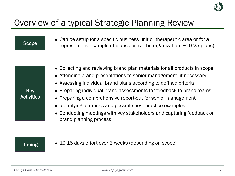

# Overview of a typical Strategic Planning Review

Key **Activities** • Can be setup for a specific business unit or therapeutic area or for a representative sample of plans across the organization (~10-25 plans) • Collecting and reviewing brand plan materials for all products in scope • Attending brand presentations to senior management, if necessary • Assessing individual brand plans according to defined criteria • Preparing individual brand assessments for feedback to brand teams • Preparing a comprehensive report-out for senior management • Identifying learnings and possible best practice examples **Scope** 

• Conducting meetings with key stakeholders and capturing feedback on brand planning process

**Timing** 

• 10-15 days effort over 3 weeks (depending on scope)